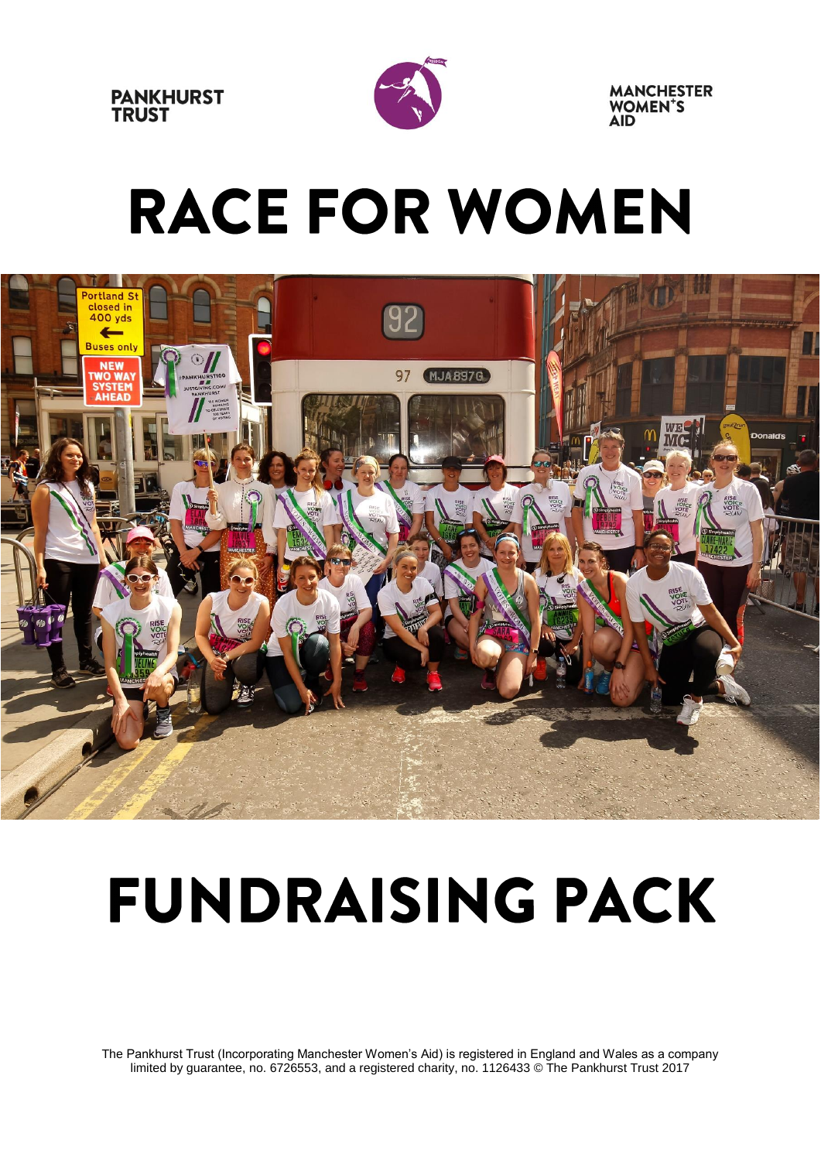



**MANCHESTER WOMEN'S** 

# **RACE FOR WOMEN**



# **FUNDRAISING PACK**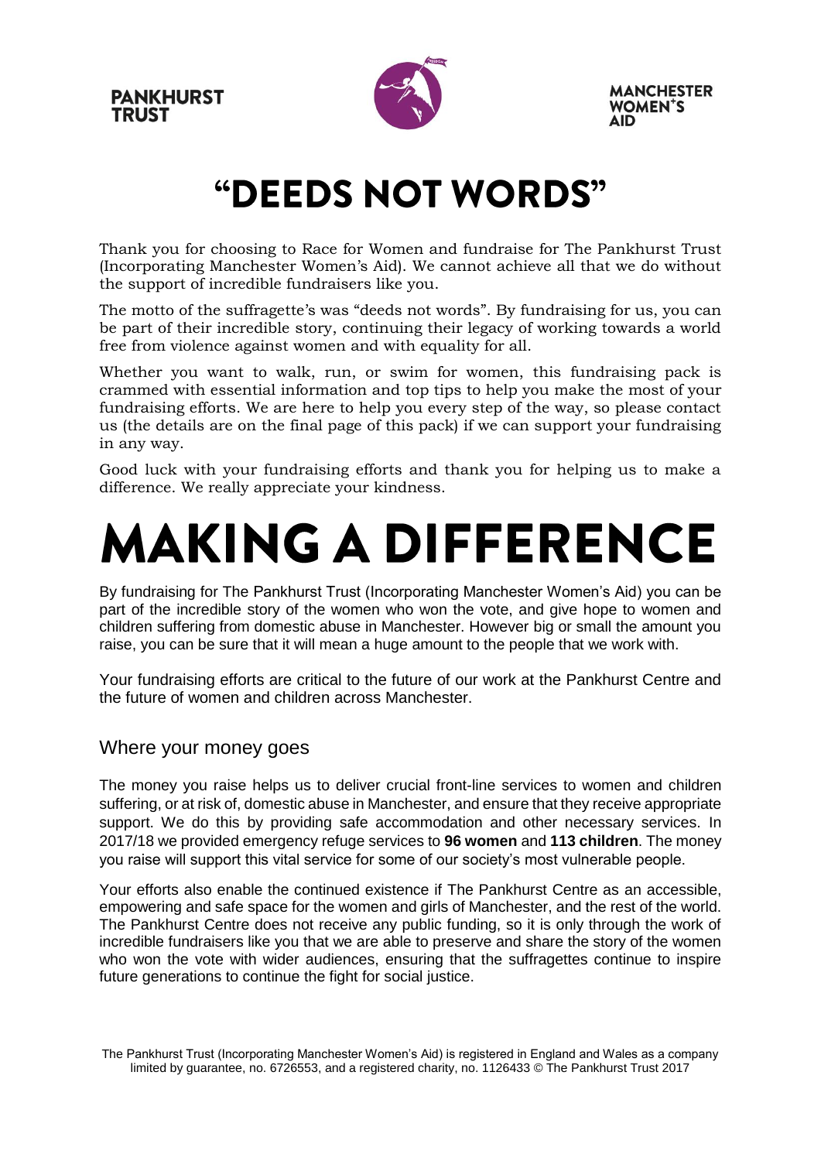**PANKHURST TRUST** 



**MANCHESTER WOMEN'S** 

### "DEEDS NOT WORDS"

Thank you for choosing to Race for Women and fundraise for The Pankhurst Trust (Incorporating Manchester Women's Aid). We cannot achieve all that we do without the support of incredible fundraisers like you.

The motto of the suffragette's was "deeds not words". By fundraising for us, you can be part of their incredible story, continuing their legacy of working towards a world free from violence against women and with equality for all.

Whether you want to walk, run, or swim for women, this fundraising pack is crammed with essential information and top tips to help you make the most of your fundraising efforts. We are here to help you every step of the way, so please contact us (the details are on the final page of this pack) if we can support your fundraising in any way.

Good luck with your fundraising efforts and thank you for helping us to make a difference. We really appreciate your kindness.

### **MAKING A DIFFERENCE**

By fundraising for The Pankhurst Trust (Incorporating Manchester Women's Aid) you can be part of the incredible story of the women who won the vote, and give hope to women and children suffering from domestic abuse in Manchester. However big or small the amount you raise, you can be sure that it will mean a huge amount to the people that we work with.

Your fundraising efforts are critical to the future of our work at the Pankhurst Centre and the future of women and children across Manchester.

#### Where your money goes

The money you raise helps us to deliver crucial front-line services to women and children suffering, or at risk of, domestic abuse in Manchester, and ensure that they receive appropriate support. We do this by providing safe accommodation and other necessary services. In 2017/18 we provided emergency refuge services to **96 women** and **113 children**. The money you raise will support this vital service for some of our society's most vulnerable people.

Your efforts also enable the continued existence if The Pankhurst Centre as an accessible, empowering and safe space for the women and girls of Manchester, and the rest of the world. The Pankhurst Centre does not receive any public funding, so it is only through the work of incredible fundraisers like you that we are able to preserve and share the story of the women who won the vote with wider audiences, ensuring that the suffragettes continue to inspire future generations to continue the fight for social justice.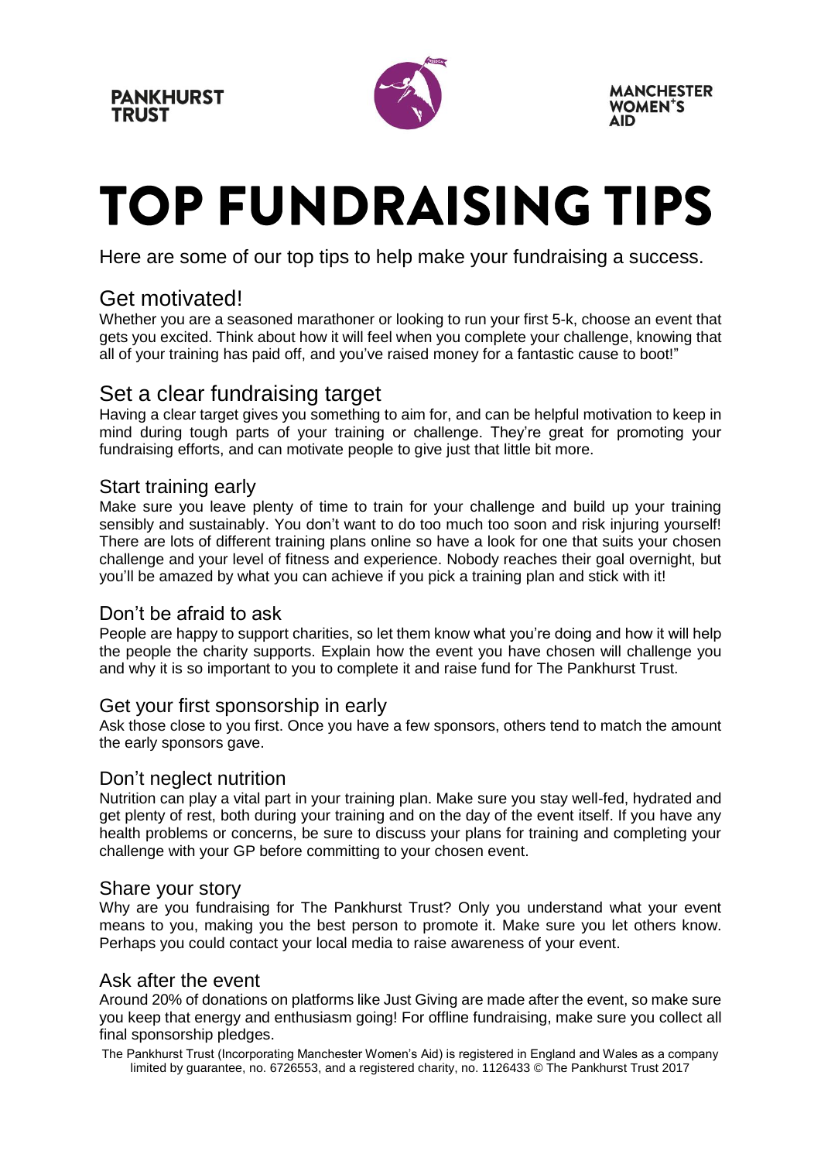

**MANCHESTER WOMEN'S** 

## **TOP FUNDRAISING TIPS**

Here are some of our top tips to help make your fundraising a success.

#### Get motivated!

Whether you are a seasoned marathoner or looking to run your first 5-k, choose an event that gets you excited. Think about how it will feel when you complete your challenge, knowing that all of your training has paid off, and you've raised money for a fantastic cause to boot!"

#### Set a clear fundraising target

Having a clear target gives you something to aim for, and can be helpful motivation to keep in mind during tough parts of your training or challenge. They're great for promoting your fundraising efforts, and can motivate people to give just that little bit more.

#### Start training early

Make sure you leave plenty of time to train for your challenge and build up your training sensibly and sustainably. You don't want to do too much too soon and risk injuring yourself! There are lots of different training plans online so have a look for one that suits your chosen challenge and your level of fitness and experience. Nobody reaches their goal overnight, but you'll be amazed by what you can achieve if you pick a training plan and stick with it!

#### Don't be afraid to ask

People are happy to support charities, so let them know what you're doing and how it will help the people the charity supports. Explain how the event you have chosen will challenge you and why it is so important to you to complete it and raise fund for The Pankhurst Trust.

#### Get your first sponsorship in early

Ask those close to you first. Once you have a few sponsors, others tend to match the amount the early sponsors gave.

#### Don't neglect nutrition

Nutrition can play a vital part in your training plan. Make sure you stay well-fed, hydrated and get plenty of rest, both during your training and on the day of the event itself. If you have any health problems or concerns, be sure to discuss your plans for training and completing your challenge with your GP before committing to your chosen event.

#### Share your story

Why are you fundraising for The Pankhurst Trust? Only you understand what your event means to you, making you the best person to promote it. Make sure you let others know. Perhaps you could contact your local media to raise awareness of your event.

#### Ask after the event

Around 20% of donations on platforms like Just Giving are made after the event, so make sure you keep that energy and enthusiasm going! For offline fundraising, make sure you collect all final sponsorship pledges.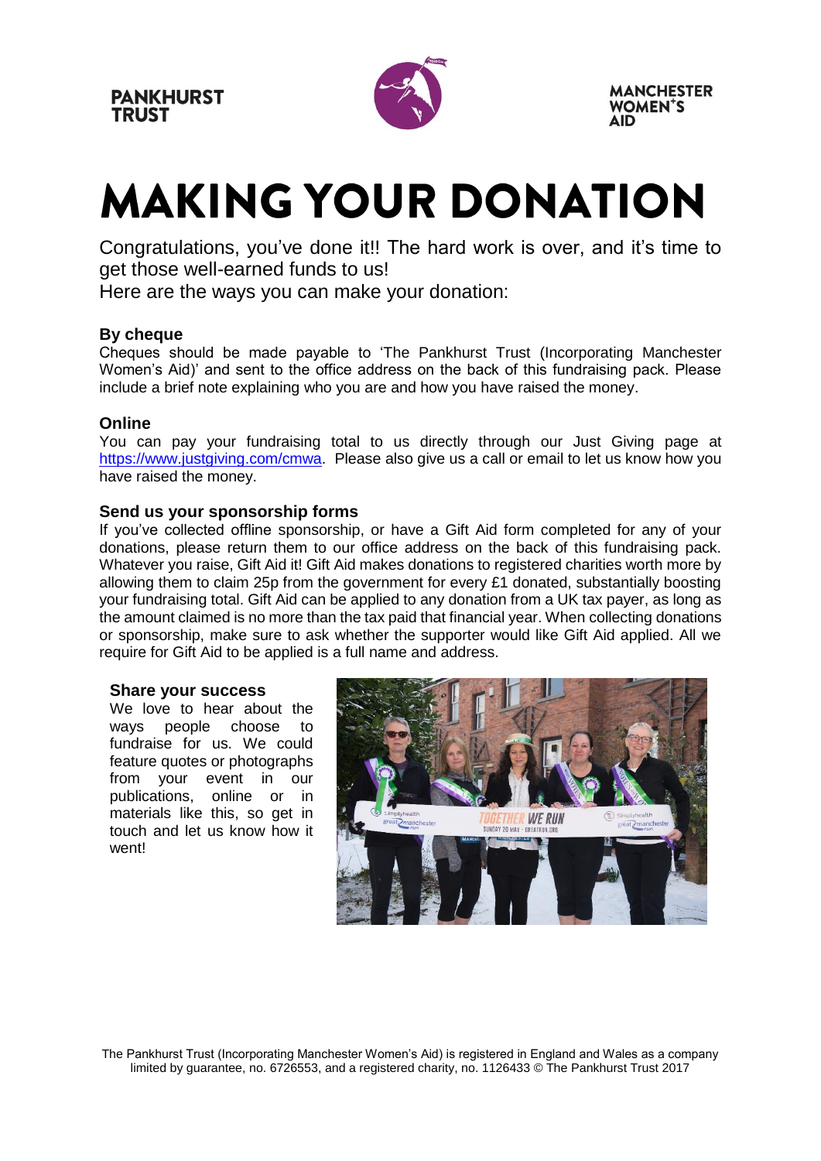

**MANCHESTER WOMEN'S** 

### **MAKING YOUR DONATION**

Congratulations, you've done it!! The hard work is over, and it's time to get those well-earned funds to us!

Here are the ways you can make your donation:

#### **By cheque**

Cheques should be made payable to 'The Pankhurst Trust (Incorporating Manchester Women's Aid)' and sent to the office address on the back of this fundraising pack. Please include a brief note explaining who you are and how you have raised the money.

#### **Online**

You can pay your fundraising total to us directly through our Just Giving page at [https://www.justgiving.com/cmwa.](https://www.justgiving.com/cmwa) Please also give us a call or email to let us know how you have raised the money.

#### **Send us your sponsorship forms**

If you've collected offline sponsorship, or have a Gift Aid form completed for any of your donations, please return them to our office address on the back of this fundraising pack. Whatever you raise, Gift Aid it! Gift Aid makes donations to registered charities worth more by allowing them to claim 25p from the government for every £1 donated, substantially boosting your fundraising total. Gift Aid can be applied to any donation from a UK tax payer, as long as the amount claimed is no more than the tax paid that financial year. When collecting donations or sponsorship, make sure to ask whether the supporter would like Gift Aid applied. All we require for Gift Aid to be applied is a full name and address.

#### **Share your success**

We love to hear about the ways people choose to fundraise for us. We could feature quotes or photographs from your event in our publications, online or in materials like this, so get in touch and let us know how it went!

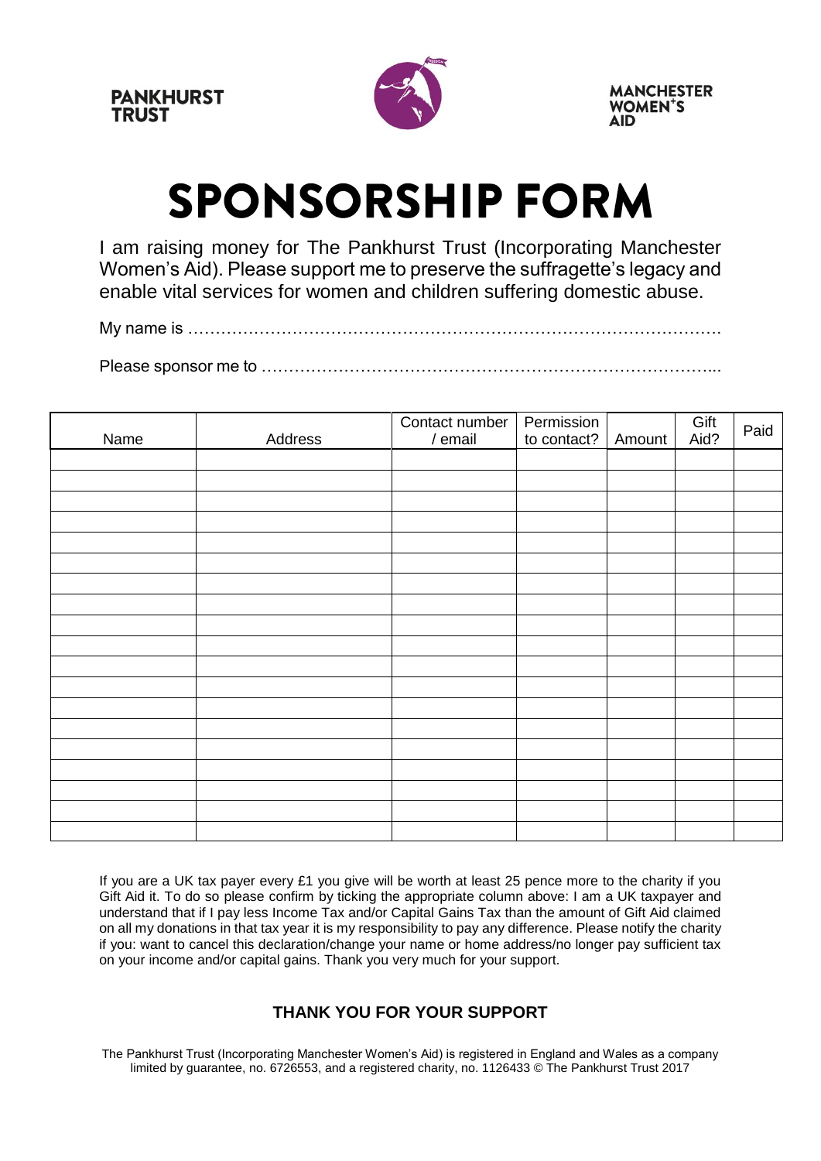

### **SPONSORSHIP FORM**

I am raising money for The Pankhurst Trust (Incorporating Manchester Women's Aid). Please support me to preserve the suffragette's legacy and enable vital services for women and children suffering domestic abuse.

My name is …………………………………………………………………………………….

Please sponsor me to ………………………………………………………………………...

| Name | Address | Contact number   Permission<br>/ email | to contact? | Amount | Gift<br>Aid? | Paid |
|------|---------|----------------------------------------|-------------|--------|--------------|------|
|      |         |                                        |             |        |              |      |
|      |         |                                        |             |        |              |      |
|      |         |                                        |             |        |              |      |
|      |         |                                        |             |        |              |      |
|      |         |                                        |             |        |              |      |
|      |         |                                        |             |        |              |      |
|      |         |                                        |             |        |              |      |
|      |         |                                        |             |        |              |      |
|      |         |                                        |             |        |              |      |
|      |         |                                        |             |        |              |      |
|      |         |                                        |             |        |              |      |
|      |         |                                        |             |        |              |      |
|      |         |                                        |             |        |              |      |
|      |         |                                        |             |        |              |      |
|      |         |                                        |             |        |              |      |
|      |         |                                        |             |        |              |      |
|      |         |                                        |             |        |              |      |
|      |         |                                        |             |        |              |      |
|      |         |                                        |             |        |              |      |

If you are a UK tax payer every £1 you give will be worth at least 25 pence more to the charity if you Gift Aid it. To do so please confirm by ticking the appropriate column above: I am a UK taxpayer and understand that if I pay less Income Tax and/or Capital Gains Tax than the amount of Gift Aid claimed on all my donations in that tax year it is my responsibility to pay any difference. Please notify the charity if you: want to cancel this declaration/change your name or home address/no longer pay sufficient tax on your income and/or capital gains. Thank you very much for your support.

#### **THANK YOU FOR YOUR SUPPORT**